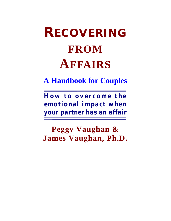# **RECOVERING FROM AFFAIRS**

# **A Handbook for Couples**

*How to overcome the emotional impact when your partner has an affair*

# **Peggy Vaughan & James Vaughan, Ph.D.**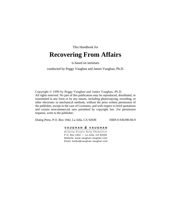This Handbook for

# **Recovering From Affairs**

is based on seminars

conducted by Peggy Vaughan and James Vaughan, Ph.D.

Copyright © 1999 by Peggy Vaughan and James Vaughan, Ph.D. All rights reserved. No part of this publication may be reproduced, distributed, or transmitted in any form or by any means, including photocopying, recording, or other electronic or mechanical methods, without the prior written permission of the publisher, except in the case of Licensees, and with respect to brief quotations and certain noncommercial uses permitted by copyright law. For permission requests, write to the publisher.

Dialog Press, P.O. Box 1942, La Jolla, CA 92038 ISBN 0-936390-06-9

#### *VAUGHAN & VAUGHAN*

*Helping People Help Themselves* P.O. Box 1942 • La Jolla, CA 92038 Website: www.vaughan-vaughan.com Email: books@vaughan-vaughan.com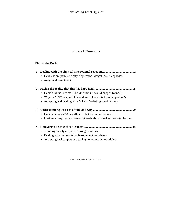## **Table of Contents**

### **Plan of the Book**

| • Devastation (pain, self-pity, depression, weight loss, sleep loss).    |
|--------------------------------------------------------------------------|
| • Anger and resentment.                                                  |
|                                                                          |
| • Denial: Oh no, not me. ("I didn't think it would happen to me.")       |
| • Why me? ("What could I have done to keep this from happening?)         |
| • Accepting and dealing with "what is"—letting go of "if only."          |
|                                                                          |
| • Understanding <i>who</i> has affairs—that no one is immune.            |
| • Looking at why people have affairs—both personal and societal factors. |
|                                                                          |
| • Thinking clearly in spite of strong emotions.                          |
| • Dealing with feelings of embarrassment and shame.                      |
| • Accepting real support and saying no to unsolicited advice.            |
|                                                                          |
|                                                                          |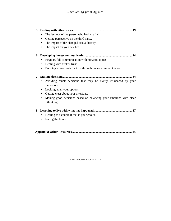| The feelings of the person who had an affair.<br>٠                                          |  |  |
|---------------------------------------------------------------------------------------------|--|--|
| Getting perspective on the third party.<br>$\bullet$                                        |  |  |
| The impact of the changed sexual history.<br>$\bullet$                                      |  |  |
| The impact on your sex life.<br>٠                                                           |  |  |
|                                                                                             |  |  |
| Regular, full communication with no taboo topics.                                           |  |  |
| Dealing with broken trust.<br>$\bullet$                                                     |  |  |
| Building a new basis for trust through honest communication.<br>٠                           |  |  |
|                                                                                             |  |  |
| Avoiding quick decisions that may be overly influenced by your<br>emotions.                 |  |  |
| Looking at all your options.<br>$\bullet$                                                   |  |  |
| Getting clear about your priorities.<br>$\bullet$                                           |  |  |
| Making good decisions based on balancing your emotions with clear<br>$\bullet$<br>thinking. |  |  |
|                                                                                             |  |  |
| Healing as a couple if that is your choice.<br>٠                                            |  |  |
| Facing the future.<br>٠                                                                     |  |  |
|                                                                                             |  |  |
|                                                                                             |  |  |

**Appendix: Other Resources ..............................................................................45**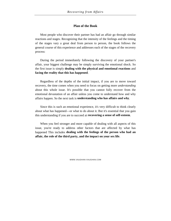### **Plan of the Book**

Most people who discover their partner has had an affair go through similar reactions and stages. Recognizing that the intensity of the feelings and the timing of the stages vary a great deal from person to person, the book follows the general course of this experience and addresses each of the stages of the recovery process:

During the period immediately following the discovery of your partner's affair, your biggest challenge may be simply surviving the emotional shock. So the first issue is simply **dealing with the physical and emotional reactions** and **facing the reality that this has happened**.

Regardless of the depths of the initial impact, if you are to move toward recovery, the time comes when you need to focus on getting more *understanding* about this whole issue. It's possible that you cannot fully recover from the emotional devastation of an affair unless you come to understand how and why affairs happen. So the next task is **understanding who has affairs and why**.

Since this is such an emotional experience, it's very difficult to think clearly about what has happened—or what to do about it. But it's essential that you gain this understanding if you are to succeed at **recovering a sense of self-esteem**.

When you feel stronger and more capable of dealing with all aspects of this issue, you're ready to address other factors that are affected by what has happened This includes **dealing with the feelings of the person who had an affair, the role of the third party, and the impact on your sex life**.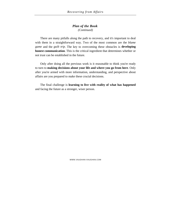### *Plan of the Book (Continued)*

There are many pitfalls along the path to recovery, and it's important to deal with them in a straightforward way. Two of the most common are the *blame game* and the *guilt trip*. The key to overcoming these obstacles is **developing honest communication**. This is the critical ingredient that determines whether or not trust can be established in the future.

Only after doing all the previous work is it reasonable to think you're ready to turn to **making decisions about your life and where you go from here**. Only after you're armed with more information, understanding, and perspective about affairs are you prepared to make these crucial decisions.

The final challenge is **learning to live with reality of what has happened** and facing the future as a stronger, wiser person.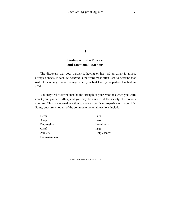#### **1**

# **Dealing with the Physical and Emotional Reactions**

The discovery that your partner is having or has had an affair is almost always a shock. In fact, *devastation* is the word most often used to describe that rush of sickening, unreal feelings when you first learn your partner has had an affair.

You may feel overwhelmed by the strength of your emotions when you learn about your partner's affair, and you may be amazed at the variety of emotions you feel. This is a normal reaction to such a significant experience in your life. Some, but surely not all, of the common emotional reactions include:

| Denial        | Pain         |
|---------------|--------------|
| Anger         | Loss         |
| Depression    | Loneliness   |
| Grief         | Fear         |
| Anxiety       | Helplessness |
| Defensiveness |              |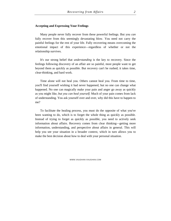#### **Accepting and Expressing Your Feelings**

Many people never fully recover from these powerful feelings. But you *can* fully recover from this seemingly devastating blow. You need not carry the painful feelings for the rest of your life. Fully recovering means overcoming the emotional impact of this experience—regardless of whether or not the relationship survives.

It's our strong belief that *understanding* is the key to recovery. Since the feelings following discovery of an affair are so painful, most people want to get beyond them as quickly as possible. But recovery can't be rushed; it takes time, clear-thinking, and hard work.

Time alone will not heal you. Others cannot heal you. From time to time, you'll find yourself wishing it had never happened, but no one can change what happened. No one can magically make your pain and anger go away as quickly as you might like, *but you can heal yourself.* Much of your pain comes from lack of understanding. You ask yourself over and over, why did this have to happen to me?

To facilitate the healing process, you must do the opposite of what you've been wanting to do, which is to forget the whole thing as quickly as possible. Instead of trying to forget as quickly as possible, you need to actively seek information about affairs. Recovery comes from clear thinking—getting more information, understanding, and perspective about affairs in general. This will help you see your situation in a broader context, which in turn allows you to make the best decision about how to deal with your personal situation.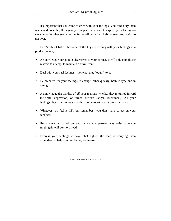It's important that you come to grips with your feelings. You can't bury them inside and hope they'll magically disappear. You need to express your feelings since anything that seems too awful to talk about is likely to seem too awful to get over.

Here's a brief list of the some of the keys to dealing with your feelings in a productive way:

- Acknowledge your pain in clear terms to your partner. It will only complicate matters to attempt to maintain a brave front.
- Deal with your real feelings—not what they "ought" to be.
- Be prepared for your feelings to change rather quickly, both in type and in strength.
- Acknowledge the validity of *all* your feelings, whether they're turned inward (self-pity, depression) or turned outward (anger, resentment). All your feelings play a part in your efforts to come to grips with this experience.
- Whatever you feel is OK, but remember—you don't have to act on your feelings.
- Resist the urge to lash out and punish your partner. Any satisfaction you might gain will be short-lived.
- Express your feelings in ways that lighten the load of carrying them around—that help you feel better, not worse.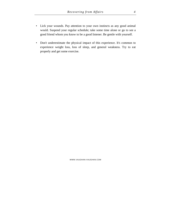- Lick your wounds. Pay attention to your own instincts as any good animal would. Suspend your regular schedule; take some time alone or go to see a good friend whom you know to be a good listener. Be gentle with yourself.
- Don't underestimate the physical impact of this experience. It's common to experience weight loss, loss of sleep, and general weakness. Try to eat properly and get some exercise.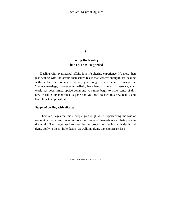**2**

# **Facing the Reality That This has Happened**

Dealing with extramarital affairs is a life-altering experience. It's more than just dealing with the affairs themselves (as if that weren't enough). It's dealing with the fact that nothing is the way you thought it was. Your dreams of the "perfect marriage," however unrealistic, have been shattered. In essence, your world has been turned upside down and you must begin to make sense of this new world. Your innocence is gone and you need to face this new reality and learn how to cope with it.

#### **Stages of dealing with affairs:**

There are stages that most people go though when experiencing the loss of something that is very important to a their sense of themselves and their place in the world. The stages used to describe the process of dealing with death and dying apply to these "little deaths" as well, involving any significant loss.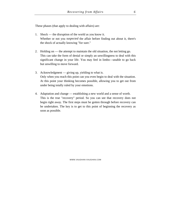These phases (that apply to dealing with affairs) are:

- 1. Shock the disruption of the world as you know it. Whether or not you *suspected* the affair before finding out about it, there's the shock of actually knowing "for sure."
- 2. Holding on the attempt to maintain the old situation, the not letting go. This can take the form of denial or simply an unwillingness to deal with this significant change in your life. You may feel in limbo—unable to go back but unwilling to move forward.
- 3. Acknowledgment giving up, yielding to what is. Only when you reach this point can you even begin to deal with the situation. At this point your thinking becomes possible, allowing you to get out from under being totally ruled by your emotions.
- 4. Adaptation and change establishing a new world and a sense of worth. This is the true "recovery" period. So you can see that recovery does not begin right away. The first steps must be gotten through before recovery can be undertaken. The key is to get to this point of beginning the recovery as soon as possible.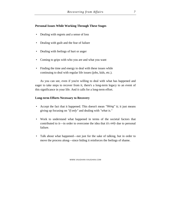#### **Personal Issues While Working Through These Stages**

- Dealing with regrets and a sense of loss
- Dealing with guilt and the fear of failure
- Dealing with feelings of hurt or anger
- Coming to grips with who you are and what you want
- Finding the time and energy to deal with these issues while continuing to deal with regular life issues (jobs, kids, etc.).

As you can see, even if you're willing to deal with what has happened and eager to take steps to recover from it, there's a long-term legacy to an event of this significance in your life. And it calls for a long-term effort.

#### **Long-term Efforts Necessary to Recovery**

- Accept the fact that it happened. This doesn't mean *"liking"* it; it just means giving up focusing on *"if only"* and dealing with *"what is."*
- Work to understand what happened in terms of the societal factors that contributed to it—in order to overcome the idea that it's *only* due to personal failure.
- Talk about what happened—not just for the sake of talking, but in order to move the process along—since hiding it reinforces the feelings of shame.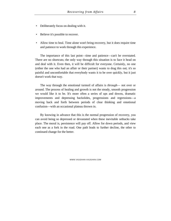- Deliberately focus on dealing with it.
- Believe it's possible to recover.
- Allow time to heal. Time alone won't bring recovery, but it does require time and patience to work through this experience.

The importance of this last point—time and patience—can't be overstated. There are no shortcuts; the only way through this situation is to face it head on and deal with it. Even then, it will be difficult for everyone. Certainly, no one (either the one who had an affair or their partner) wants to drag this out; it's so painful and uncomfortable that everybody wants it to be over quickly, but it just doesn't work that way.

The way through the emotional turmoil of affairs is *through*— not over or around. The process of healing and growth is not the steady, smooth progression we would like it to be. It's more often a series of ups and downs, dramatic improvements and depressing backslides, progressions and regressions—a moving back and forth between periods of clear thinking and emotional confusion—with an occasional plateau thrown in.

By knowing in advance that this is the normal progression of recovery, you can avoid being so depressed or devastated when these inevitable setbacks take place. The moral is, persistence will pay off. Allow for down periods, and view each one as a fork in the road. One path leads to further decline, the other to continued change for the better.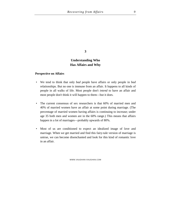**3**

# **Understanding Who Has Affairs and Why**

#### **Perspective on Affairs**

- We tend to think that only *bad* people have affairs or only people in *bad* relationships. But no one is immune from an affair. It happens to all kinds of people in all walks of life. Most people don't *intend* to have an affair and most people don't think it will happen to them—but it does.
- The current consensus of sex researchers is that 60% of married men and 40% of married women have an affair at some point during marriage. (The percentage of married women having affairs is continuing to increase; under age 35 both men and women are in the 60% range.) This means that affairs happen in a lot of marriages—probably upwards of 80%.
- Most of us are conditioned to expect an idealized image of love and marriage. When we get married and find this fairy-tale version of marriage is untrue, we can become disenchanted and look for this kind of romantic love in an affair.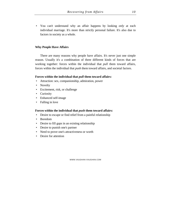• You can't understand why an affair happens by looking *only* at each individual marriage. It's more than strictly personal failure. It's also due to factors in society as a whole.

#### **Why People Have Affairs**

There are many reasons why people have affairs. It's never just one simple reason. Usually it's a combination of three different kinds of forces that are working together: forces within the individual that *pull* them toward affairs, forces within the individual that *push* them toward affairs, and societal factors.

#### **Forces within the individual that** *pull* **them toward affairs:**

- Attraction: sex, companionship, admiration, power
- Novelty
- Excitement, risk, or challenge
- Curiosity
- Enhanced self-image
- Falling in love

#### **Forces within the individual that** *push* **them toward affairs:**

- Desire to escape or find relief from a painful relationship
- Boredom
- Desire to fill gaps in an existing relationship
- Desire to punish one's partner
- Need to prove one's attractiveness or worth
- Desire for attention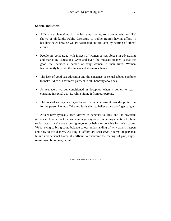#### **Societal influences:**

- Affairs are glamorized in movies, soap operas, romance novels, and TV shows of all kinds. Public disclosure of public figures having affairs is headline news because we are fascinated and titillated by hearing of others' affairs.
- People are bombarded with images of women as sex objects in advertising and marketing campaigns. Over and over, the message to men is that the good life includes a parade of sexy women in their lives. Women inadvertently buy into this image and strive to achieve it.
- The lack of good sex education and the existence of sexual taboos combine to make it difficult for most partners to talk honestly about sex.
- As teenagers we get conditioned in deception when it comes to sex engaging in sexual activity while hiding it from our parents.
- The code of secrecy is a major factor in affairs because it provides protection for the person having affairs and leads them to believe they won't get caught.

Affairs have typically been viewed as personal failures, and the powerful influence of social factors has been largely ignored. In calling attention to these social factors, we're not excusing anyone for being responsible for their actions. We're trying to bring some balance to our understanding of why affairs happen and how to avoid them. As long as affairs are seen *only* in terms of personal failure and personal blame, it's difficult to overcome the feelings of pain, anger, resentment, bitterness, or guilt.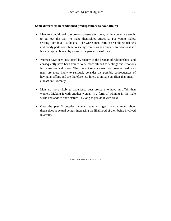#### **Some differences in conditioned predispositions to have affairs:**

- Men are conditioned to score—to pursue their prey, while women are taught to put out the bait—to make themselves attractive. For young males, scoring—not love—is the goal. The words men learn to describe sexual acts and bodily parts contribute to seeing women as sex objects. Recreational sex is a concept embraced by a very large percentage of men.
- Women have been positioned by society as the keepers of relationships, and consequently have been trained to be more attuned to feelings and emotions in themselves and others. They do not separate sex from love as readily as men, are more likely to seriously consider the possible consequences of having an affair, and are therefore less likely to initiate an affair than men at least until recently.
- Men are more likely to experience peer pressure to have an affair than women. Making it with another woman is a form of winning in the male world and adds to one's stature—as long as you do it with class.
- Over the past 3 decades, women have changed their attitudes about themselves as sexual beings, increasing the likelihood of their being involved in affairs.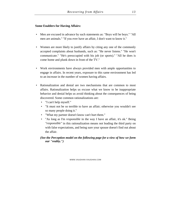#### **Some Enablers for Having Affairs:**

- Men are excused in advance by such statements as: "Boys will be boys." "All men are animals." "If you ever have an affair, I don't want to know it."
- Women are more likely to justify affairs by citing any one of the commonly accepted complaints about husbands, such as: "He never listens." "He won't communicate." "He's preoccupied with his job (or sports)." "All he does is come home and plunk down in front of the TV."
- Work environments have always provided men with ample opportunities to engage in affairs. In recent years, exposure to this same environment has led to an increase in the number of women having affairs.
- Rationalization and denial are two mechanisms that are common to most affairs. Rationalization helps us excuse what we know to be inappropriate behavior and denial helps us avoid thinking about the consequences of being discovered. Some common rationalizations are:
	- "I can't help myself."
	- "It must not be so terrible to have an affair; otherwise you wouldn't see so many people doing it."
	- "What my partner doesn't know can't hurt them."
	- "As long as I'm *responsible* in the way I have an affair, it's ok." Being *"responsible"* in this rationalization means not leading the third party on with false expectations, and being sure your spouse doesn't find out about the affair.

*(See the Perception model on the following page for a view of how we form our "reality.")*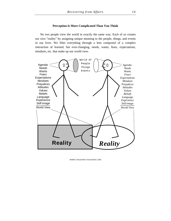#### **Perception Is More Complicated Than You Think**

No two people view the world in exactly the same way. Each of us creates our own "reality" by assigning unique meaning to the people, things, and events in our lives. We filter everything through a lens composed of a complex interaction of learned, but ever-changing, needs, wants, fears, expectations, mindsets, etc. that make up our world view.

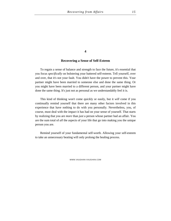#### **4**

#### **Recovering a Sense of Self-Esteem**

To regain a sense of balance and strength to face the future, it's essential that you focus *specifically* on bolstering your battered self-esteem. Tell yourself, over and over, that it's not your fault. You didn't have the power to prevent this. Your partner might have been married to someone else and done the same thing. Or you might have been married to a different person, and your partner might have done the same thing. It's just not as personal as we understandably feel it is.

This kind of thinking won't come quickly or easily, but it *will* come if you continually remind yourself that there are many other factors involved in this experience that have nothing to do with you personally. Nevertheless, you, of course, must deal with the impact it has had on your sense of yourself. That starts by realizing that you are *more* than *just* a person whose partner had an affair. You are the sum total of *all* the aspects of your life that go into making you the unique person you are.

Remind yourself of your fundamental self-worth. Allowing your self-esteem to take an unnecessary beating will only prolong the healing process.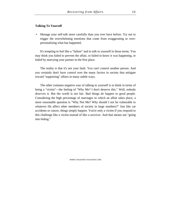#### **Talking To Yourself**

 • Manage your self-talk more carefully than you ever have before. Try not to trigger the overwhelming emotions that come from exaggerating or overpersonalizing what has happened.

It's tempting to feel like a "failure" and to talk to yourself in those terms. You may think you failed to prevent the affair, or failed to know it was happening, or failed by marrying your partner in the first place.

The reality is that it's not your fault. You can't control another person. And you certainly don't have control over the many factors in society that mitigate toward "supporting" affairs in many subtle ways.

The other common negative way of talking to yourself is to think in terms of being a "victim"—the feeling of "Why Me? I don't deserve this." Well, nobody *deserves* it. But the world is not fair. Bad things *do* happen to good people. Considering the high percentage of marriages in which an affair takes place, a more reasonable question is "Why Not Me? Why should I not be vulnerable to whatever ills affect other members of society in large numbers?" Just like car accidents or cancer, things simply happen. You're only a victim if you respond to this challenge like a victim instead of like a survivor. And that means not "going into hiding."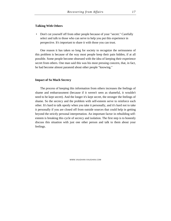#### **Talking With Others**

• Don't cut yourself off from other people because of your "secret." Carefully select and talk to those who can serve to help you put this experience in perspective. It's important to share it with those you can trust.

One reason it has taken so long for society to recognize the seriousness of this problem is because of the way most people keep their pain hidden, if at all possible. Some people become obsessed with the idea of keeping their experience secret from others. One man said this was his most pressing concern, that, in fact, he had become almost paranoid about other people "knowing."

#### **Impact of So Much Secrecy**

The process of keeping this information from others increases the feelings of shame and embarrassment (because if it weren't seen as shameful, it wouldn't need to be kept secret). And the longer it's kept secret, the stronger the feelings of shame. So the secrecy and the problem with self-esteem serve to reinforce each other. It's hard to talk openly when you take it personally, and it's hard not to take it personally if you are closed off from outside sources that could help in getting beyond the strictly personal interpretation. An important factor in rebuilding selfesteem is breaking this cycle of secrecy and isolation. The first step is to honestly discuss this situation with just one other person and talk to them about your feelings.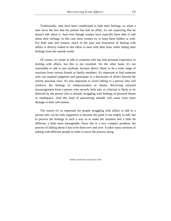Traditionally, men have been conditioned to hide their feelings, so when a man faces the fact that his partner has had an affair, it's not surprising that he doesn't talk about it. And even though women have typically been able to talk about their feelings, in this case most women try to keep them hidden as well. For both men and women, much of the pain and frustration of dealing with affairs is directly linked to this effort to deal with their fears while hiding their feelings from the outside world.

Of course, it's easier to talk to someone who has had personal experience in dealing with affairs, but this is not essential. On the other hand, it's not reasonable to talk to just *anybody*, because there's likely to be a wide range of reactions from various friends or family members. It's important to find someone who can suspend judgment and participate in a discussion of affairs beyond the strictly personal view. It's also important to *avoid* talking to a person who will reinforce the feelings of embarrassment or shame. Receiving outward encouragement from a person who secretly feels pity or criticism is likely to be detected by the person who is already struggling with feelings of personal blame or inadequacy. And this kind of patronizing attitude will cause even more damage to their self-esteem.

The reason it's so important for people struggling with affairs to talk to a person who can be truly supportive is because the point is not simply to *talk*, but to process the feelings in such a way as to make the situation feel a little bit different, a little more manageable. Since this is a very complex problem, the process of talking about it has to be done over and over. It takes many sessions of talking with different people in order to move the process along.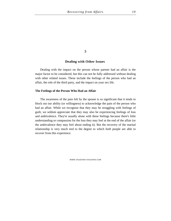#### **5**

#### **Dealing with Other Issues**

Dealing with the impact on the person whose partner had an affair is the major factor to be considered, but this can not be fully addressed without dealing with other related issues. These include the feelings of the person who had an affair, the role of the third party, and the impact on your sex life.

#### **The Feelings of the Person Who Had an Affair**

The awareness of the pain felt by the spouse is so significant that it tends to block out our ability (or willingness) to acknowledge the pain of the person who had an affair. While we recognize that they may be struggling with feelings of guilt, we seldom appreciate that they may also be experiencing feelings of loss and ambivalence. They're usually alone with these feelings because there's little understanding or compassion for the loss they may feel at the end of the affair (or the ambivalence they may feel about ending it). But the recovery of the marital relationship is very much tied to the degree to which *both* people are able to recover from this experience.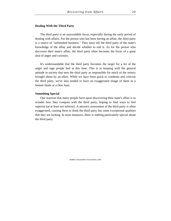#### **Dealing With the Third Party**

The third party is an unavoidable focus, especially during the early period of dealing with affairs. For the person who has been having an affair, the third party is a source of "unfinished business." They must tell the third party of the mate's knowledge of the affair and decide whether to end it. As for the person who discovers their mate's affair, the third party often becomes the focus of a great deal of anger and curiosity.

It's understandable that the third party becomes the target for a lot of the anger and rage people feel at this time. This is in keeping with the general attitude in society that sees the third party as responsible for much of the misery brought about by an affair. While we have been quick to condemn and criticize the third party, we've also tended to have an exaggerated image of them as a femme fatale or a Don Juan.

#### **Something Special**

One reaction that many people have upon discovering their mate's affair is to wonder how they compare with the third party, hoping to find ways to feel superior (or at least not inferior). A person's assessment of the third party is often exaggerated, causing them to think the third party has some exceptional qualities that they are lacking. In most instances, there is nothing particularly special about the third party.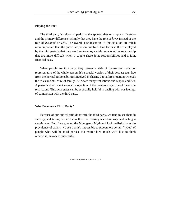#### **Playing the Part**

The third party is seldom superior to the spouse; they're simply different and the primary difference is simply that they have the role of *lover* instead of the role of *husband* or *wife*. The overall circumstances of the situation are much more important than the particular person involved. One factor in the role played by the third party is that they are freer to enjoy certain aspects of the relationship that are more difficult when a couple share joint responsibilities and a joint financial base.

When people are in affairs, they present a side of themselves that's not representative of the whole person. It's a special version of their best aspects, free from the normal responsibilities involved in sharing a total life situation; whereas the roles and structure of family life create many restrictions and responsibilities. A person's affair is not so much a rejection of the mate as a rejection of these role restrictions. This awareness can be especially helpful in dealing with our feelings of comparison with the third party.

#### **Who Becomes a Third Party?**

Because of our critical attitude toward the third party, we tend to see them in stereotypical terms; we envision them as looking a certain way and acting a certain way. But if we give up the Monogamy Myth and look realistically at the prevalence of affairs, we see that it's impossible to pigeonhole certain "types" of people who will be third parties. No matter how much we'd like to think otherwise, anyone is susceptible.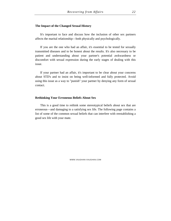#### **The Impact of the Changed Sexual History**

It's important to face and discuss how the inclusion of other sex partners affects the marital relationship—both physically and psychologically.

If you are the one who had an affair, it's essential to be tested for sexually transmitted diseases and to be honest about the results. It's also necessary to be patient and understanding about your partner's potential awkwardness or discomfort with sexual expression during the early stages of dealing with this issue.

If your partner had an affair, it's important to be clear about your concerns about STD's and to insist on being well-informed and fully protected. Avoid using this issue as a way to "punish" your partner by denying any form of sexual contact.

#### **Rethinking Your Erroneous Beliefs About Sex**

This is a good time to rethink some stereotypical beliefs about sex that are erroneous—and damaging to a satisfying sex life. The following page contains a list of some of the common sexual beliefs that can interfere with reestablishing a good sex life with your mate.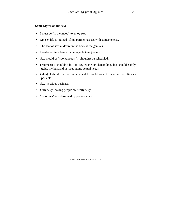#### **Some Myths about Sex:**

- I must be "in the mood" to enjoy sex.
- My sex life is "ruined" if my partner has sex with someone else.
- The seat of sexual desire in the body is the genitals.
- Headaches interfere with being able to enjoy sex.
- Sex should be "spontaneous;" it shouldn't be scheduled.
- (Women): I shouldn't be too aggressive or demanding, but should subtly guide my husband in meeting my sexual needs.
- (Men): I should be the initiator and I should want to have sex as often as possible.
- Sex is serious business.
- Only sexy-looking people are really sexy.
- "Good sex" is determined by performance.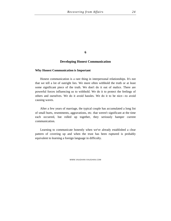**6**

#### **Developing Honest Communication**

#### **Why Honest Communication is Important**

Honest communication is a rare thing in interpersonal relationships. It's not that we tell a lot of outright lies. We more often withhold the truth or at least some significant piece of the truth. We don't do it out of malice. There are powerful forces influencing us to withhold. We do it to protect the feelings of others and ourselves. We do it avoid hassles. We do it to be nice—to avoid causing waves.

After a few years of marriage, the typical couple has accumulated a long list of small hurts, resentments, aggravations, etc. that weren't significant at the time each occurred, but rolled up together, they seriously hamper current communication.

Learning to communicate honestly when we've already established a clear pattern of covering up and when the trust has been ruptured is probably equivalent to learning a foreign language in difficulty.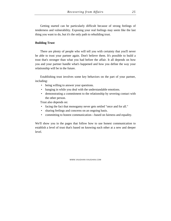Getting started can be particularly difficult because of strong feelings of tenderness and vulnerability. Exposing your real feelings may seem like the last thing you want to do, but it's the only path to rebuilding trust.

#### **Building Trust**

There are plenty of people who will tell you with certainty that you'll never be able to trust your partner again. Don't believe them. It's possible to build a trust that's stronger than what you had before the affair. It all depends on how you and your partner handle what's happened and how you define the way your relationship will be in the future.

Establishing trust involves some key behaviors on the part of your partner, including:

- being willing to answer your questions.
- hanging in while you deal with the understandable emotions.
- demonstrating a commitment to the relationship by severing contact with the other person.

Trust also depends on:

- facing the fact that monogamy never gets settled "once and for all."
- sharing feelings and concerns on an ongoing basis.
- committing to honest communication—based on fairness and equality.

We'll show you in the pages that follow how to use honest communication to establish a level of trust that's based on knowing each other at a new and deeper level.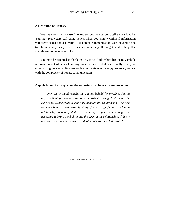#### **A Definition of Honesty**

You may consider yourself honest so long as you don't tell an outright lie. You may feel you're still being honest when you simply withhold information you aren't asked about directly. But honest communication goes beyond being truthful in what you say; it also means *volunteering* all thoughts and feelings that are relevant to the relationship.

You may be tempted to think it's OK to tell little white lies or to withhold information out of fear of hurting your partner. But this is usually a way of rationalizing your unwillingness to devote the time and energy necessary to deal with the complexity of honest communication.

#### **A quote from Carl Rogers on the importance of honest communication:**

*"One rule of thumb which I have found helpful for myself is that, in any continuing relationship, any persistent feeling had better be expressed. Suppressing it can only damage the relationship. The first sentence is not stated casually. Only if it is a significant, continuing relationship, and only if it is a recurring or persistent feeling is it necessary to bring the feeling into the open in the relationship. If this is not done, what is unexpressed gradually poisons the relationship."*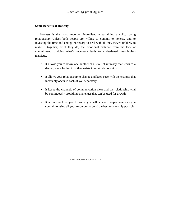#### **Some Benefits of Honesty**

Honesty is the most important ingredient in sustaining a solid, loving relationship. Unless both people are willing to commit to honesty and to investing the time and energy necessary to deal with all this, they're unlikely to make it together; or if they do, the emotional distance from the lack of commitment to doing what's necessary leads to a deadened, meaningless marriage.

- It allows you to know one another at a level of intimacy that leads to a deeper, more lasting trust than exists in most relationships.
- It allows your relationship to change and keep pace with the changes that inevitably occur in each of you separately.
- It keeps the channels of communication clear and the relationship vital by continuously providing challenges that can be used for growth.
- It allows each of you to know yourself at ever deeper levels as you commit to using all your resources to build the best relationship possible.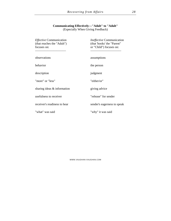**Communicating Effectively—"Adult" to "Adult"** (Especially When Giving Feedback)

| <i>Effective</i> Communication<br>(that reaches the "Adult")<br>focuses on: | <i>Ineffective</i> Communication<br>(that 'hooks' the "Parent"<br>or "Child") focuses on: |
|-----------------------------------------------------------------------------|-------------------------------------------------------------------------------------------|
| observations                                                                | assumptions                                                                               |
| behavior                                                                    | the person                                                                                |
| description                                                                 | judgment                                                                                  |
| "more" or "less"                                                            | "either/or"                                                                               |
| sharing ideas & information                                                 | giving advice                                                                             |
| usefulness to receiver                                                      | "release" for sender                                                                      |
| receiver's readiness to hear                                                | sender's eagerness to speak                                                               |
| "what" was said                                                             | "why" it was said                                                                         |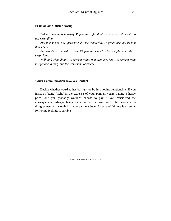#### **From an old Galician saying:**

*"When someone is honestly 55 percent right, that's very good and there's no use wrangling.*

*And if someone is 60 percent right, it's wonderful, it's great luck and let him thank God.*

*But what's to be said about 75 percent right? Wise people say this is suspicious.*

*Well, and what about 100 percent right? Whoever says he's 100 percent right is a fanatic, a thug, and the worst kind of rascal."*

#### **When Communication Involves Conflict**

Decide whether you'd rather be right or be in a loving relationship. If you insist on being "right" at the expense of your partner, you're paying a heavy price—one you probably wouldn't choose to pay if you considered the consequences. Always being made to be the loser or to be wrong in a disagreement will slowly kill your partner's love. A sense of fairness is essential for loving feelings to survive.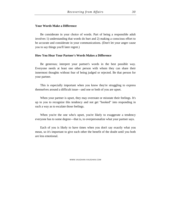#### **Your Words Make a Difference**

Be considerate in your choice of words. Part of being a responsible adult involves 1) understanding that words do hurt and 2) making a conscious effort to be accurate and considerate in your communications. (Don't let your anger cause you to say things you'll later regret.)

#### **How You Hear Your Partner's Words Makes a Difference**

Be generous; interpret your partner's words in the best possible way. Everyone needs at least one other person with whom they can share their innermost thoughts without fear of being judged or rejected. Be that person for your partner.

This is especially important when you know they're struggling to express themselves around a difficult issue—and one or both of you are upset.

When your partner is upset, they may overstate or misstate their feelings. It's up to you to recognize this tendency and not get "hooked" into responding in such a way as to escalate those feelings.

When you're the one who's upset, you're likely to exaggerate a tendency everyone has to some degree—that is, to overpersonalize what your partner says.

Each of you is likely to have times when you don't say exactly what you mean, so it's important to give each other the benefit of the doubt until you both are less emotional.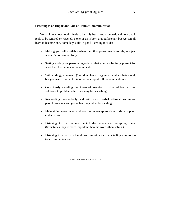#### **Listening is an Important Part of Honest Communication**

 We all know how good it feels to be truly heard and accepted, and how bad it feels to be ignored or rejected. None of us is born a good listener, but we can all learn to become one. Some key skills in good listening include:

- Making yourself available when the other person needs to talk, not just when it's convenient for you.
- Setting aside your personal agenda so that you can be fully present for what the other wants to communicate.
- Withholding judgement. (You don't have to agree with what's being said, but you need to accept it in order to support full communication.)
- Consciously avoiding the knee-jerk reaction to give advice or offer solutions to problems the other may be describing.
- Responding non-verbally and with short verbal affirmations and/or paraphrases to show you're hearing and understanding.
- Maintaining eye-contact and touching when appropriate to show support and attention.
- Listening to the feelings behind the words and accepting them. (Sometimes they're more important than the words themselves.)
- Listening to what is *not* said. An omission can be a telling clue to the total communication.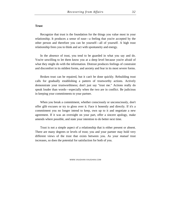#### **Trust**

Recognize that trust is the foundation for the things you value most in your relationship. It produces a sense of ease—a feeling that you're accepted by the other person and therefore you can be yourself—all of yourself. A high trust relationship frees you to think and act with spontaneity and energy.

In the absence of trust, you tend to be guarded in what you say and do. You're unwilling to let them know you at a deep level because you're afraid of what they might do with the information. Distrust produces feelings of constraint and discomfort in its mildest forms, and anxiety and fear in its most severe forms.

Broken trust can be repaired, but it can't be done quickly. Rebuilding trust calls for gradually establishing a pattern of trustworthy actions. Actively demonstrate your trustworthiness; don't just say "trust me." Actions really do speak louder than words—especially when the two are in conflict. Be judicious in keeping your commitments to your partner.

When you break a commitment, whether consciously or unconsciously, don't offer glib excuses or try to gloss over it. Face it honestly and directly. If it's a commitment you no longer intend to keep, own up to it and negotiate a new agreement. If it was an oversight on your part, offer a sincere apology, make amends where possible, and state your intention to do better next time.

Trust is not a simple aspect of a relationship that is either present or absent. There are many degrees or levels of trust; you and your partner may hold very different views of the trust that exists between you. As your *mutual* trust increases, so does the potential for satisfaction for both of you.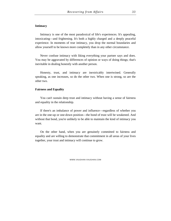#### **Intimacy**

Intimacy is one of the most paradoxical of life's experiences. It's appealing, intoxicating—and frightening. It's both a highly charged and a deeply peaceful experience. In moments of true intimacy, you drop the normal boundaries and allow yourself to be known more completely than in any other circumstance.

Never confuse intimacy with liking everything your partner says and does. You may be aggravated by differences of opinion or ways of doing things; that's inevitable in dealing honestly with another person.

Honesty, trust, and intimacy are inextricably intertwined. Generally speaking, as one increases, so do the other two. When one is strong, so are the other two.

#### **Fairness and Equality**

You can't sustain deep trust and intimacy without having a sense of fairness and equality in the relationship.

If there's an imbalance of power and influence—regardless of whether you are in the one-up or one-down position—the bond of trust will be weakened. And without that bond, you're unlikely to be able to maintain the kind of intimacy you want.

On the other hand, when you are genuinely committed to fairness and equality and are willing to demonstrate that commitment in all areas of your lives together, your trust and intimacy will continue to grow.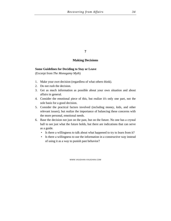#### **7**

#### **Making Decisions**

#### **Some Guidelines for Deciding to Stay or Leave**

(Excerpt from *The Monogamy Myth*)

- 1. Make your *own* decision (regardless of what others think).
- 2. Do not rush the decision.
- 3. Get as much information as possible about your own situation and about affairs in general.
- 4. Consider the emotional piece of this, but realize it's only one part, not the sole basis for a good decision.
- 5. Consider the practical factors involved (including money, kids, and other relevant issues), but realize the importance of balancing these concerns with the more personal, emotional needs.
- 6. Base the decision not just on the past, but on the future. No one has a crystal ball to see just what the future holds, but there are indications that can serve as a guide.
	- Is there a willingness to talk about what happened to try to learn from it?
	- Is there a willingness to use the information in a constructive way instead of using it as a way to punish past behavior?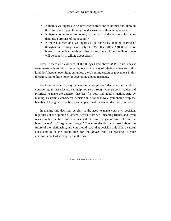- Is there a willingness to acknowledge attractions as normal and likely in the future, and a plan for ongoing discussions of these temptations?
- Is there a commitment to honesty as the basis of the relationship (rather than just a promise of monogamy)?
- Is there evidence of a willingness to be honest by ongoing sharing of thoughts and feelings about subjects *other* than affairs? (If there is not honest communication about other issues, there's little likelihood there will be honesty in talking about affairs.)

Even if there's no evidence of the things listed above *at this time*, does it seem reasonable to think of moving *toward* this way of relating? Changes of this kind don't happen overnight, but unless there's an indication of movement in this direction, there's little hope for developing a good marriage.

Deciding whether to stay or leave is a complicated decision, but carefully considering all these factors can help you sort through your personal values and priorities to make the decision that best fits your individual situation. And by making a carefully considered decision in a rational way, you should reap the benefits of being more confident and at peace with whatever decision you make.

In making this decision, be alert to the need to make your own decision, regardless of the opinion of others. Advice from well-meaning friends and loved ones can be plentiful and ill-conceived. It runs the gamut from "throw the bum/slut out" to "forgive and forget." *You* must decide for yourself about the future of the relationship, and you should reach that decision only after a careful consideration of the possibilities for the *future*—not just reacting to your emotions about what happened in the past.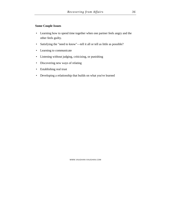#### **Some Couple Issues**

- Learning how to spend time together when one partner feels angry and the other feels guilty.
- Satisfying the "need to know"—tell it all or tell as little as possible?
- Learning to communicate
- Listening without judging, criticizing, or punishing
- Discovering new ways of relating
- Establishing real trust
- Developing a relationship that builds on what you've learned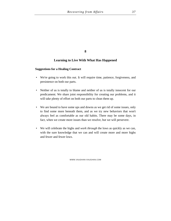#### **8**

#### **Learning to Live With What Has Happened**

#### **Suggestions for a Healing Contract**

- We're going to work this out. It will require time, patience, forgiveness, and persistence on both our parts.
- Neither of us is totally to blame and neither of us is totally innocent for our predicament. We share joint responsibility for creating our problems, and it will take plenty of effort on both our parts to clean them up.
- We are bound to have some ups and downs as we get rid of some issues, only to find some more beneath them, and as we try new behaviors that won't always feel as comfortable as our old habits. There may be some days, in fact, when we create more issues than we resolve, but we will persevere.
- We will celebrate the highs and *work through* the lows as quickly as we can, with the sure knowledge that we can and will create more and more highs and fewer and fewer lows.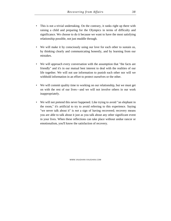- This is not a trivial undertaking. On the contrary, it ranks right up there with raising a child and preparing for the Olympics in terms of difficulty and significance. We choose to do it because we want to have the most satisfying relationship possible, not just muddle through.
- We will make it by consciously using our love for each other to sustain us, by thinking clearly and communicating honestly, and by learning from our mistakes.
- We will approach every conversation with the assumption that "the facts are friendly" and it's in our mutual best interest to deal with the realities of our life together. We will not use information to punish each other nor will we withhold information in an effort to protect ourselves or the other.
- We will commit quality time to working on our relationship, but we must get on with the rest of our lives—and we will not involve others in our work inappropriately.
- We will not pretend this never happened. Like trying to avoid "an elephant in the room," it's artificial to try to avoid referring to this experience. Saying "we never talk about it" is *not* a sign of having recovered; recovery means you are able to talk about it just as you talk about any other significant event in your lives. When these reflections can take place without undue rancor or emotionalism, you'll know the satisfaction of recovery.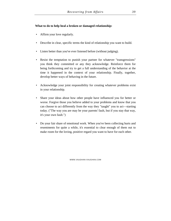#### **What to do to help heal a broken or damaged relationship:**

- Affirm your love regularly.
- Describe in clear, specific terms the kind of relationship you want to build.
- Listen better than you've ever listened before (without judging).
- Resist the temptation to punish your partner for whatever "transgressions" you think they committed or any they acknowledge. Reinforce them for being forthcoming and try to get a full understanding of the behavior at the time it happened in the context of your relationship. Finally, together, develop better ways of behaving in the future.
- Acknowledge your joint responsibility for creating whatever problems exist in your relationship.
- Share your ideas about how other people have influenced you for better or worse. Forgive those you believe added to your problems and know that you can choose to act differently from the way they "taught" you to act—starting today. ("The way you are may be your parents' fault, but if you stay that way, it's your own fault.")
- Do your fair share of emotional work. When you've been collecting hurts and resentments for quite a while, it's essential to clear enough of them out to make room for the loving, positive regard you want to have for each other.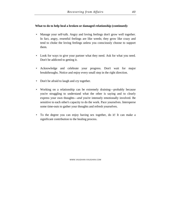#### **What to do to help heal a broken or damaged relationship (continued):**

- Manage your self-talk. Angry and loving feelings don't grow well together. In fact, angry, resentful feelings are like weeds; they grow like crazy and tend to choke the loving feelings unless you consciously choose to support them.
- Look for ways to give your partner what they need. Ask for what you need. Don't be addicted to getting it.
- Acknowledge and celebrate your progress. Don't wait for major breakthroughs. Notice and enjoy every small step in the right direction.
- Don't be afraid to laugh and cry together.
- Working on a relationship can be extremely draining—probably because you're struggling to understand what the other is saying and to clearly express your own thoughts—*and* you're intensely emotionally involved. Be sensitive to each other's capacity to do the work. Pace yourselves. Intersperse some time-outs to gather your thoughts and refresh yourselves.
- To the degree you can enjoy having sex together, do it! It can make a significant contribution to the healing process.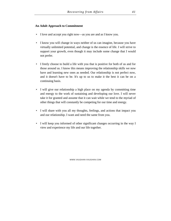#### **An Adult Approach to Commitment**

- I love and accept you right now—as you are and as I know you.
- I know you will change in ways neither of us can imagine, because you have virtually unlimited potential, and change is the essence of life. I will strive to support your growth, even though it may include some change that I would not prefer.
- I freely choose to build a life with you that is positive for both of us and for those around us. I know this means improving the relationship skills we now have and learning new ones as needed. Our relationship is not perfect now, and it doesn't have to be. It's up to us to make it the best it can be on a continuing basis.
- I will give our relationship a high place on my agenda by committing time and energy to the work of sustaining and developing our love. I will never take it for granted and assume that it can wait while we tend to the myriad of other things that will constantly be competing for our time and energy.
- I will share with you all my thoughts, feelings, and actions that impact you and our relationship. I want and need the same from you.
- I will keep you informed of other significant changes occurring in the way I view and experience my life and our life together.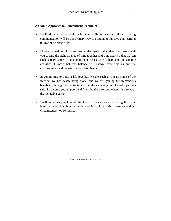#### **An Adult Approach to Commitment (continued):**

- I will do my part to build with you a life of learning. Honest, caring communication will be our primary way of sustaining our love and learning to love more effectively.
- I know that neither of us can meet all the needs of the other. I will work with you to find the right balance of time together and time apart so that we can each satisfy some of our important needs with others and in separate activities. I know that this balance will change over time as our life circumstances and the world around us change.
- In committing to build a life together, we are each giving up some of the freedom we had when living alone, and we are gaining the tremendous benefits of facing life's vicissitudes from the vantage point of a solid partnership. I welcome your support and I will be there for you when life throws us the inevitable curves.
- I will consciously seek to add fun to our lives as long as we're together. Life is serious enough without our unduly adding to it by taking ourselves and our circumstances too seriously.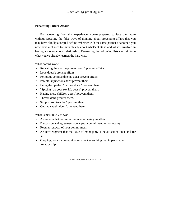#### **Preventing Future Affairs**

By recovering from this experience, you're prepared to face the future without repeating the false ways of thinking about preventing affairs that you may have blindly accepted before. Whether with the same partner or another, you now have a chance to think clearly about what's at stake and what's involved in having a monogamous relationship. Re-reading the following lists can reinforce what you've already learned the hard way.

What doesn't work:

- Repeating the marriage vows doesn't prevent affairs.
- Love doesn't prevent affairs.
- Religious commandments don't prevent affairs.
- Parental injunctions don't prevent them.
- Being the "perfect" partner doesn't prevent them.
- "Spicing" up your sex life doesn't prevent them.
- Having more children doesn't prevent them.
- Threats don't prevent them.
- Simple promises don't prevent them.
- Getting caught doesn't prevent them.

What is most likely to work:

- Awareness that no one is immune to having an affair.
- Discussion and agreement about your commitment to monogamy.
- Regular renewal of your commitment.
- Acknowledgment that the issue of monogamy is never settled once and for all.
- Ongoing, honest communication about everything that impacts your relationship.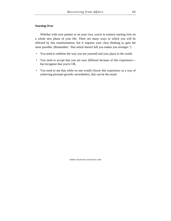#### **Starting Over**

Whether with your partner or on your own, you're in essence starting over on a whole new phase of your life. There are many ways in which you will be affected by this transformation, but it requires your clear thinking to gain the most possible. (Remember: "that which doesn't kill you makes you stronger.")

- You need to redefine the way you see yourself and your place in the world.
- You need to accept that you are now different because of this experience but recognize that you're OK.
- You need to see that while no one would *choose* this experience as a way of achieving personal growth; nevertheless, that can be the result.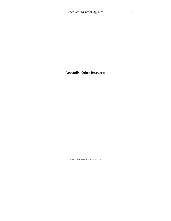# **Appendix: Other Resources**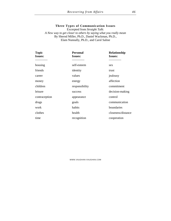#### **Three Types of Communication Issues**

Excerpted from *Straight Talk: A New way to get closer to others by saying what you really mean* By Sherod Miller, Ph.D., Daniel Wackman, Ph.D., Elam Nunnally, Ph.D., and Carol Saline

| <b>Topic</b><br><b>Issues:</b> | <b>Personal</b><br><b>Issues:</b> | Relationship<br><b>Issues:</b> |
|--------------------------------|-----------------------------------|--------------------------------|
| housing                        | self-esteem                       | sex                            |
| friends                        | identity                          | trust                          |
| career                         | values                            | jealousy                       |
| money                          | energy                            | affection                      |
| children                       | responsibility                    | commitment                     |
| leisure                        | success                           | decision-making                |
| contraception                  | appearance                        | control                        |
| drugs                          | goals                             | communication                  |
| work                           | habits                            | boundaries                     |
| clothes                        | health                            | closeness/distance             |
| time                           | recognition                       | cooperation                    |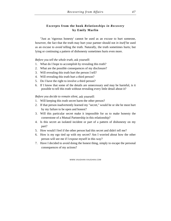# **Excerpts from the book** *Relationships in Recovery* **by Emily Marlin**

"Just as 'rigorous honesty' cannot be used as an excuse to hurt someone, however, the fact that the truth may hurt your partner should not *in itself* be used as an excuse to *avoid* telling the truth. Naturally, the truth sometimes hurts; but lying or continuing a pattern of dishonesty sometimes hurts even more.

#### *Before you tell the whole truth*, ask yourself:

- 1. What do I hope to accomplish by revealing this truth?
- 2. What are the possible consequences of my disclosure?
- 3. Will revealing this truth hurt the person I tell?
- 4. Will revealing this truth hurt a third person?
- 5. Do I have the right to involve a third person?
- 6. If I know that some of the details are unnecessary and may be harmful, is it possible to tell this truth without revealing every little detail about it?

*Before you decide to remain silent*, ask yourself:

- 1. Will keeping this truth secret harm the other person?
- 2. If that person inadvertently learned my "secret," would he or she be most hurt by my failure to be open and honest?
- 3. Will this particular secret make it impossible for us to make honesty the cornerstone of a Mutual Partnership in this relationship?
- 4. Is this secret an isolated incident or part of a pattern of dishonesty on my part?
- 5. How would I feel if the other person had this secret and didn't tell me?
- 6. How is my ego tied up with my secret? Am I worried about how the other person will see me if I expose myself in this way?
- 7. Have I decided to avoid doing the honest thing, simply to escape the personal consequences of my actions?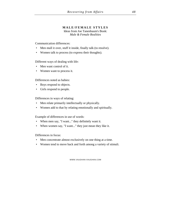#### **MALE/FEMALE STYLES**

Ideas from Joe Tanenbaum's Book: *Male & Female Realities*

Communication differences:

- Men mull it over, stuff it inside, finally talk (to resolve).
- Women talk to process (to express their thoughts).

Different ways of dealing with life:

- Men want control of it.
- Women want to process it.

Differences noted as babies:

- Boys respond to objects.
- Girls respond to people.

Differences in ways of relating:

- Men relate primarily intellectually or physically.
- Women add to that by relating emotionally and spiritually.

Example of differences in use of words:

- When men say, "I want..." they definitely want it.
- When women say, "I want..." they just mean they like it.

Differences in focus:

- Men concentrate almost exclusively on one thing at a time.
- Women tend to move back and forth among a variety of stimuli.